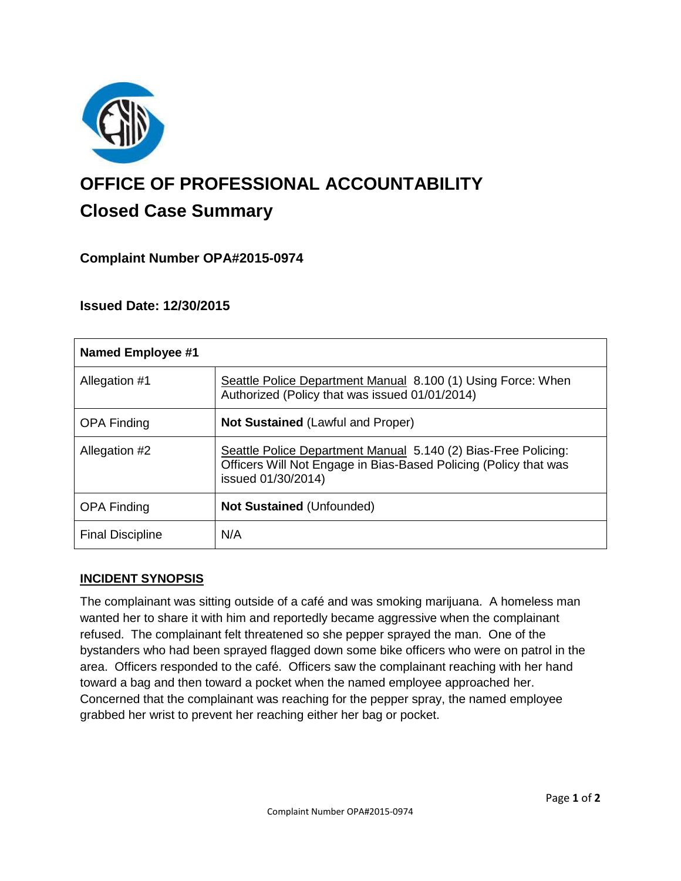

# **OFFICE OF PROFESSIONAL ACCOUNTABILITY Closed Case Summary**

# **Complaint Number OPA#2015-0974**

## **Issued Date: 12/30/2015**

| <b>Named Employee #1</b> |                                                                                                                                                          |
|--------------------------|----------------------------------------------------------------------------------------------------------------------------------------------------------|
| Allegation #1            | Seattle Police Department Manual 8.100 (1) Using Force: When<br>Authorized (Policy that was issued 01/01/2014)                                           |
| <b>OPA Finding</b>       | <b>Not Sustained (Lawful and Proper)</b>                                                                                                                 |
| Allegation #2            | Seattle Police Department Manual 5.140 (2) Bias-Free Policing:<br>Officers Will Not Engage in Bias-Based Policing (Policy that was<br>issued 01/30/2014) |
| <b>OPA Finding</b>       | <b>Not Sustained (Unfounded)</b>                                                                                                                         |
| <b>Final Discipline</b>  | N/A                                                                                                                                                      |

#### **INCIDENT SYNOPSIS**

The complainant was sitting outside of a café and was smoking marijuana. A homeless man wanted her to share it with him and reportedly became aggressive when the complainant refused. The complainant felt threatened so she pepper sprayed the man. One of the bystanders who had been sprayed flagged down some bike officers who were on patrol in the area. Officers responded to the café. Officers saw the complainant reaching with her hand toward a bag and then toward a pocket when the named employee approached her. Concerned that the complainant was reaching for the pepper spray, the named employee grabbed her wrist to prevent her reaching either her bag or pocket.